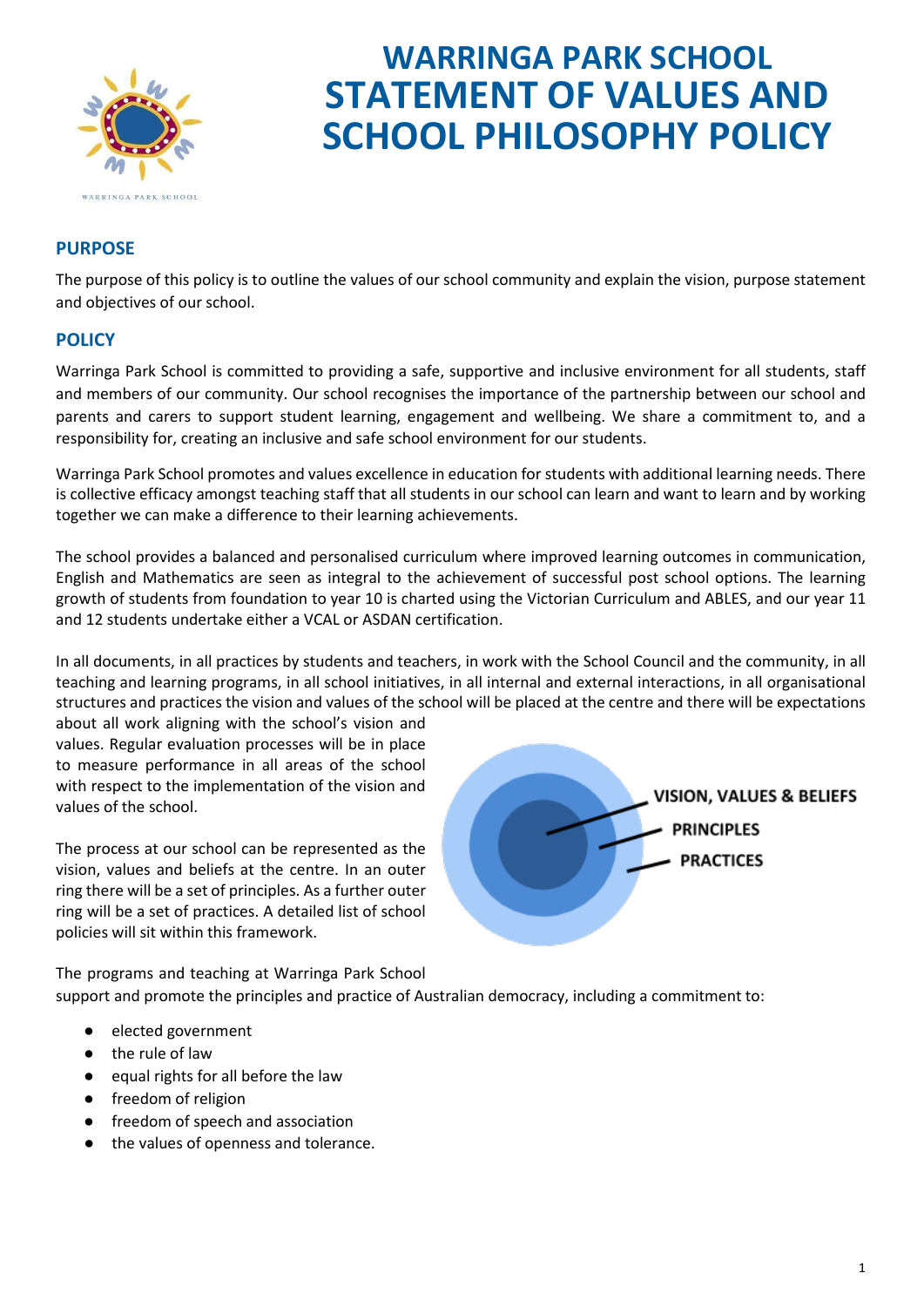

# **WARRINGA PARK SCHOOL STATEMENT OF VALUES AND SCHOOL PHILOSOPHY POLICY**

# **PURPOSE**

The purpose of this policy is to outline the values of our school community and explain the vision, purpose statement and objectives of our school.

## **POLICY**

Warringa Park School is committed to providing a safe, supportive and inclusive environment for all students, staff and members of our community. Our school recognises the importance of the partnership between our school and parents and carers to support student learning, engagement and wellbeing. We share a commitment to, and a responsibility for, creating an inclusive and safe school environment for our students.

Warringa Park School promotes and values excellence in education for students with additional learning needs. There is collective efficacy amongst teaching staff that all students in our school can learn and want to learn and by working together we can make a difference to their learning achievements.

The school provides a balanced and personalised curriculum where improved learning outcomes in communication, English and Mathematics are seen as integral to the achievement of successful post school options. The learning growth of students from foundation to year 10 is charted using the Victorian Curriculum and ABLES, and our year 11 and 12 students undertake either a VCAL or ASDAN certification.

In all documents, in all practices by students and teachers, in work with the School Council and the community, in all teaching and learning programs, in all school initiatives, in all internal and external interactions, in all organisational structures and practices the vision and values of the school will be placed at the centre and there will be expectations

about all work aligning with the school's vision and values. Regular evaluation processes will be in place to measure performance in all areas of the school with respect to the implementation of the vision and values of the school.

The process at our school can be represented as the vision, values and beliefs at the centre. In an outer ring there will be a set of principles. As a further outer ring will be a set of practices. A detailed list of school policies will sit within this framework.



The programs and teaching at Warringa Park School support and promote the principles and practice of Australian democracy, including a commitment to:

- elected government
- the rule of law
- equal rights for all before the law
- freedom of religion
- freedom of speech and association
- the values of openness and tolerance.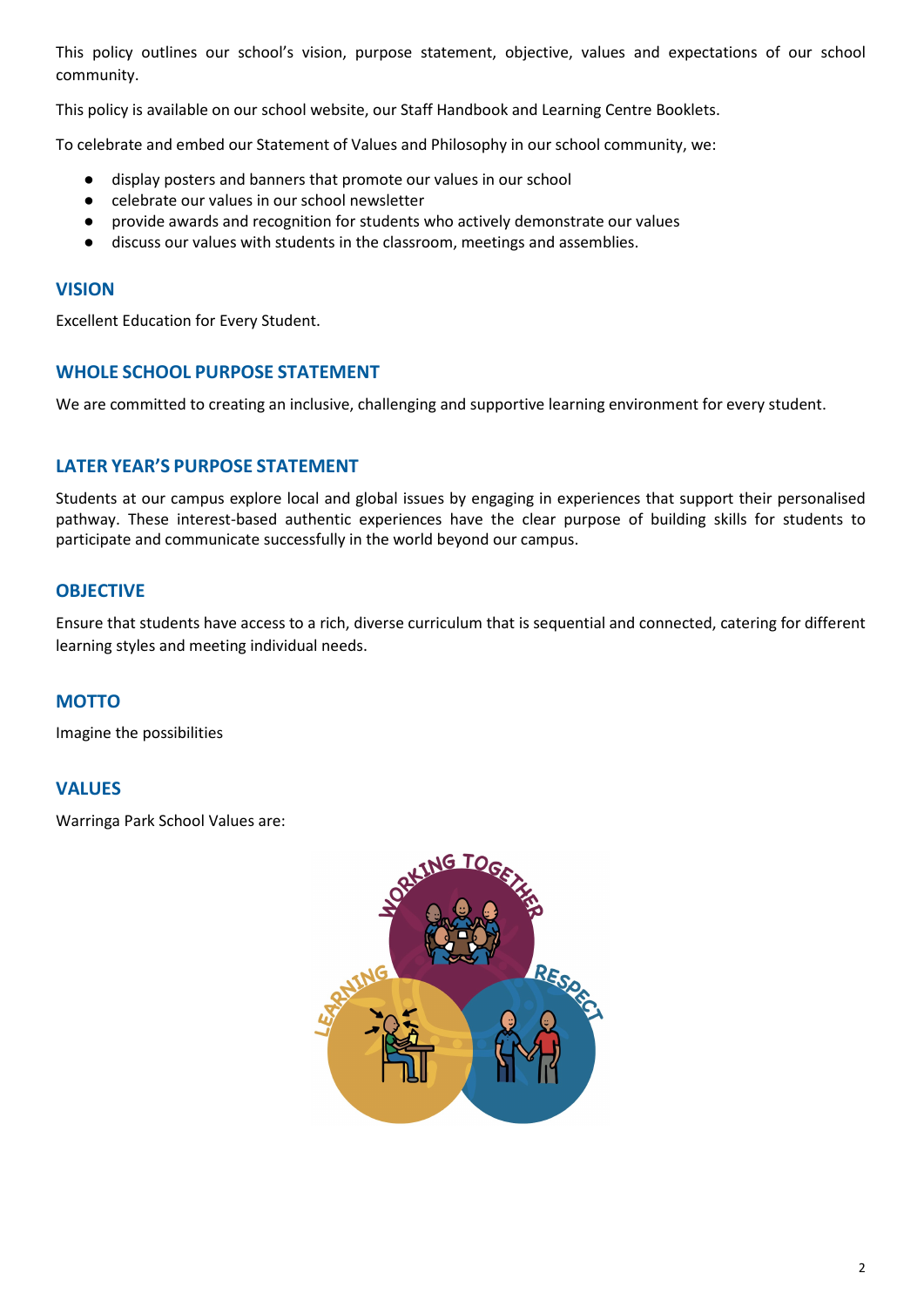This policy outlines our school's vision, purpose statement, objective, values and expectations of our school community.

This policy is available on our school website, our Staff Handbook and Learning Centre Booklets.

To celebrate and embed our Statement of Values and Philosophy in our school community, we:

- display posters and banners that promote our values in our school
- celebrate our values in our school newsletter
- provide awards and recognition for students who actively demonstrate our values
- discuss our values with students in the classroom, meetings and assemblies.

#### **VISION**

Excellent Education for Every Student.

## **WHOLE SCHOOL PURPOSE STATEMENT**

We are committed to creating an inclusive, challenging and supportive learning environment for every student.

# **LATER YEAR'S PURPOSE STATEMENT**

Students at our campus explore local and global issues by engaging in experiences that support their personalised pathway. These interest-based authentic experiences have the clear purpose of building skills for students to participate and communicate successfully in the world beyond our campus.

# **OBJECTIVE**

Ensure that students have access to a rich, diverse curriculum that is sequential and connected, catering for different learning styles and meeting individual needs.

# **MOTTO**

Imagine the possibilities

#### **VALUES**

Warringa Park School Values are:

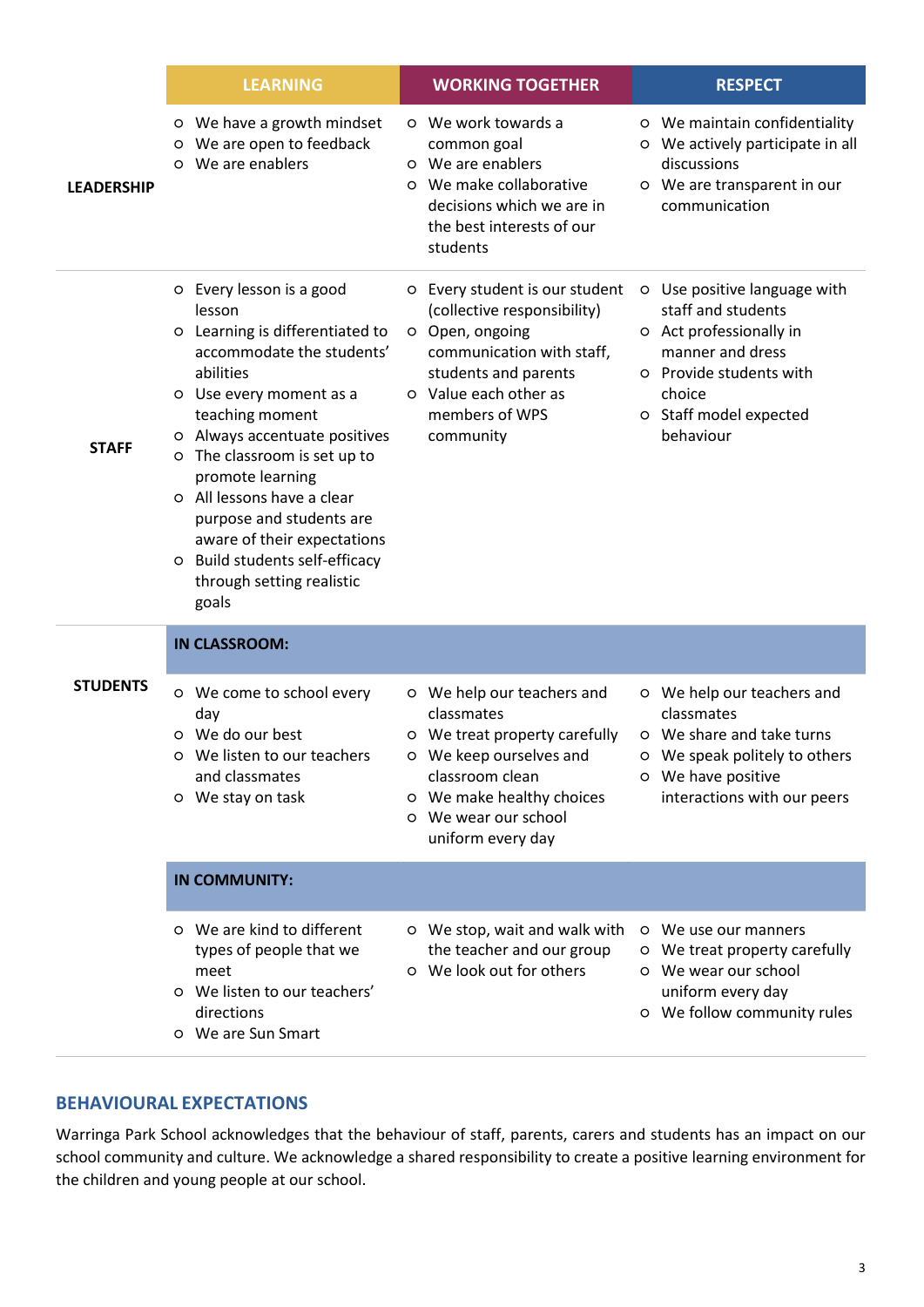|                   | <b>LEARNING</b>                                                                                                                                                                                                                                                                                                                                                                                                     | <b>WORKING TOGETHER</b>                                                                                                                                                                           | <b>RESPECT</b>                                                                                                                                                                |
|-------------------|---------------------------------------------------------------------------------------------------------------------------------------------------------------------------------------------------------------------------------------------------------------------------------------------------------------------------------------------------------------------------------------------------------------------|---------------------------------------------------------------------------------------------------------------------------------------------------------------------------------------------------|-------------------------------------------------------------------------------------------------------------------------------------------------------------------------------|
| <b>LEADERSHIP</b> | o We have a growth mindset<br>We are open to feedback<br>O<br>We are enablers<br>$\circ$                                                                                                                                                                                                                                                                                                                            | o We work towards a<br>common goal<br>o We are enablers<br>o We make collaborative<br>decisions which we are in<br>the best interests of our<br>students                                          | o We maintain confidentiality<br>O We actively participate in all<br>discussions<br>O We are transparent in our<br>communication                                              |
| <b>STAFF</b>      | o Every lesson is a good<br>lesson<br>o Learning is differentiated to<br>accommodate the students'<br>abilities<br>O Use every moment as a<br>teaching moment<br>o Always accentuate positives<br>o The classroom is set up to<br>promote learning<br>o All lessons have a clear<br>purpose and students are<br>aware of their expectations<br>O Build students self-efficacy<br>through setting realistic<br>goals | O Every student is our student<br>(collective responsibility)<br>O Open, ongoing<br>communication with staff,<br>students and parents<br>o Value each other as<br>members of WPS<br>community     | O Use positive language with<br>staff and students<br>o Act professionally in<br>manner and dress<br>o Provide students with<br>choice<br>o Staff model expected<br>behaviour |
|                   | <b>IN CLASSROOM:</b>                                                                                                                                                                                                                                                                                                                                                                                                |                                                                                                                                                                                                   |                                                                                                                                                                               |
| <b>STUDENTS</b>   | o We come to school every<br>day<br>o We do our best<br>We listen to our teachers<br>O<br>and classmates<br>O We stay on task                                                                                                                                                                                                                                                                                       | O We help our teachers and<br>classmates<br>O We treat property carefully<br>o We keep ourselves and<br>classroom clean<br>o We make healthy choices<br>o We wear our school<br>uniform every day | o We help our teachers and<br>classmates<br>O We share and take turns<br>O We speak politely to others<br>o We have positive<br>interactions with our peers                   |
|                   | <b>IN COMMUNITY:</b>                                                                                                                                                                                                                                                                                                                                                                                                |                                                                                                                                                                                                   |                                                                                                                                                                               |
|                   | o We are kind to different<br>types of people that we<br>meet<br>o We listen to our teachers'<br>directions<br>o We are Sun Smart                                                                                                                                                                                                                                                                                   | O We stop, wait and walk with<br>the teacher and our group<br>o We look out for others                                                                                                            | o We use our manners<br>O We treat property carefully<br>o We wear our school<br>uniform every day<br>o We follow community rules                                             |

# **BEHAVIOURAL EXPECTATIONS**

Warringa Park School acknowledges that the behaviour of staff, parents, carers and students has an impact on our school community and culture. We acknowledge a shared responsibility to create a positive learning environment for the children and young people at our school.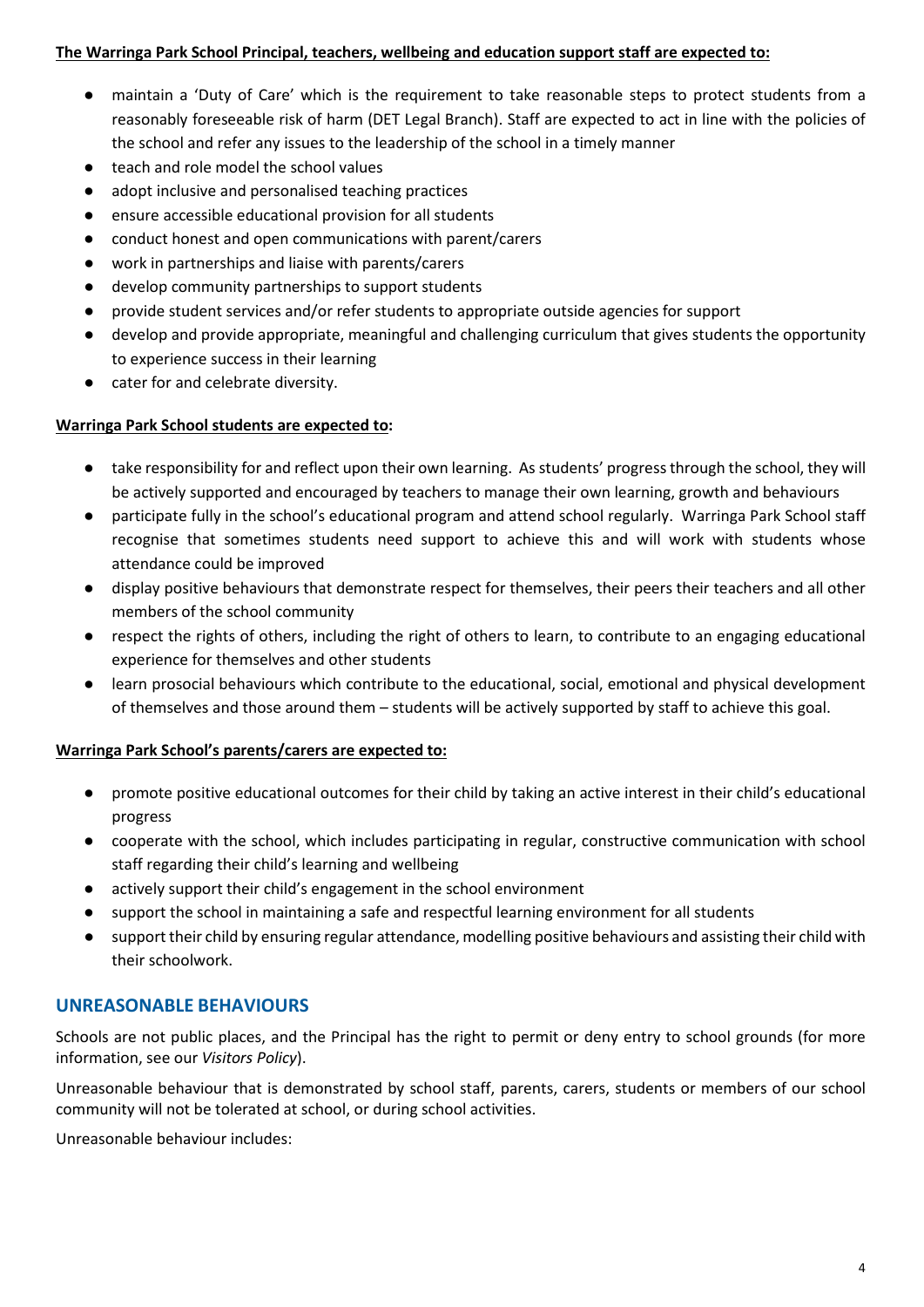#### **The Warringa Park School Principal, teachers, wellbeing and education support staff are expected to:**

- maintain a 'Duty of Care' which is the requirement to take reasonable steps to protect students from a reasonably foreseeable risk of harm (DET Legal Branch). Staff are expected to act in line with the policies of the school and refer any issues to the leadership of the school in a timely manner
- teach and role model the school values
- adopt inclusive and personalised teaching practices
- ensure accessible educational provision for all students
- conduct honest and open communications with parent/carers
- work in partnerships and liaise with parents/carers
- develop community partnerships to support students
- provide student services and/or refer students to appropriate outside agencies for support
- develop and provide appropriate, meaningful and challenging curriculum that gives students the opportunity to experience success in their learning
- cater for and celebrate diversity.

#### **Warringa Park School students are expected to:**

- take responsibility for and reflect upon their own learning. As students' progress through the school, they will be actively supported and encouraged by teachers to manage their own learning, growth and behaviours
- participate fully in the school's educational program and attend school regularly. Warringa Park School staff recognise that sometimes students need support to achieve this and will work with students whose attendance could be improved
- display positive behaviours that demonstrate respect for themselves, their peers their teachers and all other members of the school community
- respect the rights of others, including the right of others to learn, to contribute to an engaging educational experience for themselves and other students
- learn prosocial behaviours which contribute to the educational, social, emotional and physical development of themselves and those around them – students will be actively supported by staff to achieve this goal.

#### **Warringa Park School's parents/carers are expected to:**

- promote positive educational outcomes for their child by taking an active interest in their child's educational progress
- cooperate with the school, which includes participating in regular, constructive communication with school staff regarding their child's learning and wellbeing
- actively support their child's engagement in the school environment
- support the school in maintaining a safe and respectful learning environment for all students
- support their child by ensuring regular attendance, modelling positive behaviours and assisting their child with their schoolwork.

# **UNREASONABLE BEHAVIOURS**

Schools are not public places, and the Principal has the right to permit or deny entry to school grounds (for more information, see our *Visitors Policy*).

Unreasonable behaviour that is demonstrated by school staff, parents, carers, students or members of our school community will not be tolerated at school, or during school activities.

Unreasonable behaviour includes: